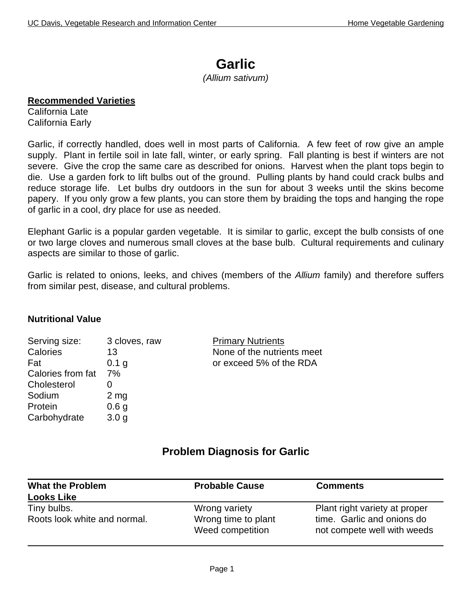# **Garlic**

*(Allium sativum)*

#### **Recommended Varieties**

California Late California Early

Garlic, if correctly handled, does well in most parts of California. A few feet of row give an ample supply. Plant in fertile soil in late fall, winter, or early spring. Fall planting is best if winters are not severe. Give the crop the same care as described for onions. Harvest when the plant tops begin to die. Use a garden fork to lift bulbs out of the ground. Pulling plants by hand could crack bulbs and reduce storage life. Let bulbs dry outdoors in the sun for about 3 weeks until the skins become papery. If you only grow a few plants, you can store them by braiding the tops and hanging the rope of garlic in a cool, dry place for use as needed.

Elephant Garlic is a popular garden vegetable. It is similar to garlic, except the bulb consists of one or two large cloves and numerous small cloves at the base bulb. Cultural requirements and culinary aspects are similar to those of garlic.

Garlic is related to onions, leeks, and chives (members of the *Allium* family) and therefore suffers from similar pest, disease, and cultural problems.

### **Nutritional Value**

| Serving size:     | 3 cloves, raw     |
|-------------------|-------------------|
| Calories          | 13                |
| Fat               | 0.1 g             |
| Calories from fat | 7%                |
| Cholesterol       | $\mathbf{\Omega}$ |
| Sodium            | 2 <sub>mg</sub>   |
| Protein           | 0.6 <sub>g</sub>  |
| Carbohydrate      | 3.0 <sub>q</sub>  |
|                   |                   |

**Primary Nutrients** None of the nutrients meet or exceed 5% of the RDA

### **Problem Diagnosis for Garlic**

| <b>What the Problem</b>      | <b>Probable Cause</b>                   | <b>Comments</b>                                           |
|------------------------------|-----------------------------------------|-----------------------------------------------------------|
| <b>Looks Like</b>            |                                         |                                                           |
| Tiny bulbs.                  | Wrong variety                           | Plant right variety at proper                             |
| Roots look white and normal. | Wrong time to plant<br>Weed competition | time. Garlic and onions do<br>not compete well with weeds |